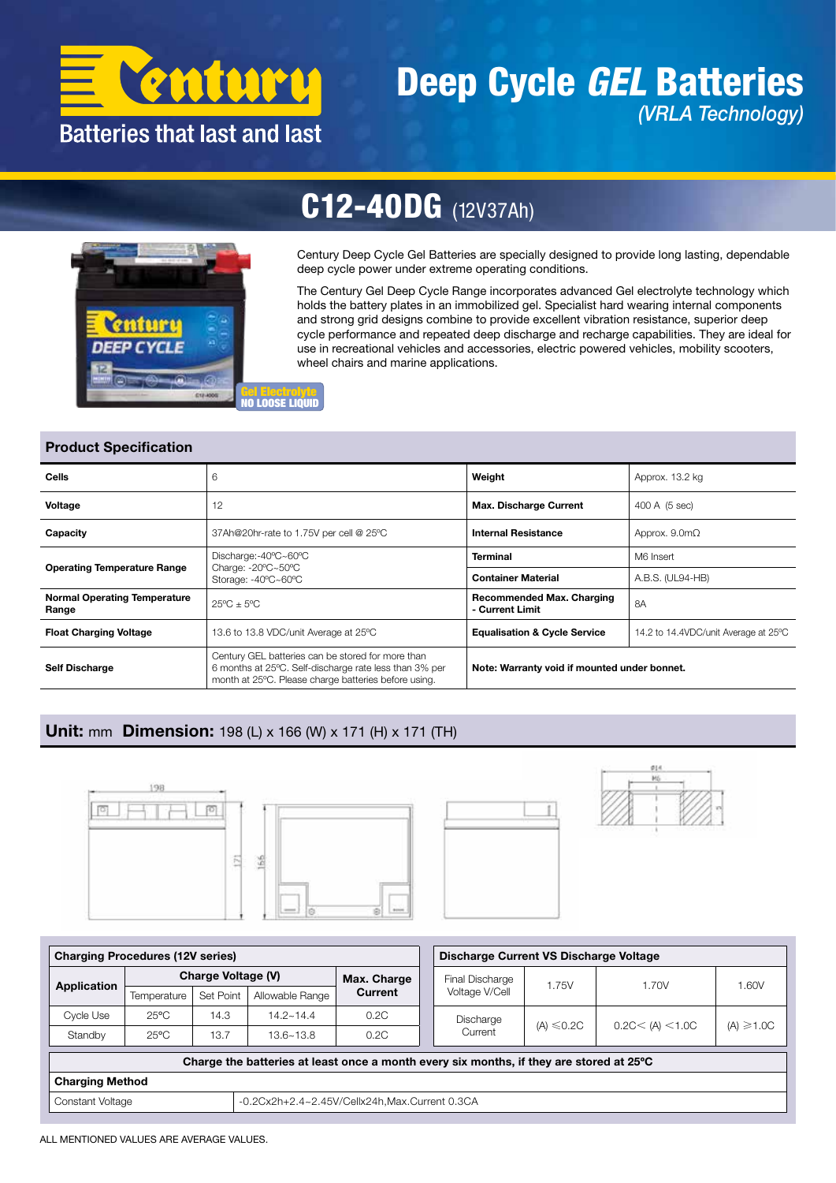

# Deep Cycle *GEL* Batteries *(VRLA Technology)*



# C12-40DG (12V37Ah)

Century Deep Cycle Gel Batteries are specially designed to provide long lasting, dependable deep cycle power under extreme operating conditions.

The Century Gel Deep Cycle Range incorporates advanced Gel electrolyte technology which holds the battery plates in an immobilized gel. Specialist hard wearing internal components and strong grid designs combine to provide excellent vibration resistance, superior deep cycle performance and repeated deep discharge and recharge capabilities. They are ideal for use in recreational vehicles and accessories, electric powered vehicles, mobility scooters, wheel chairs and marine applications.

### Product Specification

| Cells                                        | 6                                                                                                                                                                   | Weight                                              | Approx. 13.2 kg                      |  |  |  |
|----------------------------------------------|---------------------------------------------------------------------------------------------------------------------------------------------------------------------|-----------------------------------------------------|--------------------------------------|--|--|--|
| Voltage                                      | 12                                                                                                                                                                  | <b>Max. Discharge Current</b>                       | 400 A (5 sec)                        |  |  |  |
| Capacity                                     | 37Ah@20hr-rate to 1.75V per cell @ 25°C                                                                                                                             |                                                     | Approx. $9.0m\Omega$                 |  |  |  |
|                                              | Discharge:-40°C~60°C                                                                                                                                                | <b>Terminal</b>                                     | M6 Insert                            |  |  |  |
| <b>Operating Temperature Range</b>           | Charge: $-20^{\circ}$ C $-50^{\circ}$ C<br>Storage: -40°C~60°C                                                                                                      | <b>Container Material</b>                           | A.B.S. (UL94-HB)                     |  |  |  |
| <b>Normal Operating Temperature</b><br>Range | $25^{\circ}$ C + $5^{\circ}$ C                                                                                                                                      | <b>Recommended Max. Charging</b><br>- Current Limit | 8A                                   |  |  |  |
| <b>Float Charging Voltage</b>                | 13.6 to 13.8 VDC/unit Average at 25°C                                                                                                                               | <b>Equalisation &amp; Cycle Service</b>             | 14.2 to 14.4VDC/unit Average at 25°C |  |  |  |
| <b>Self Discharge</b>                        | Century GEL batteries can be stored for more than<br>6 months at 25°C. Self-discharge rate less than 3% per<br>month at 25°C. Please charge batteries before using. | Note: Warranty void if mounted under bonnet.        |                                      |  |  |  |

# Unit: mm Dimension: 198 (L) x 166 (W) x 171 (H) x 171 (TH)







| <b>Charging Procedures (12V series)</b>                                                 |                |                    |                 |              |                 | Discharge Current VS Discharge Voltage |                 |                   |                 |  |  |  |
|-----------------------------------------------------------------------------------------|----------------|--------------------|-----------------|--------------|-----------------|----------------------------------------|-----------------|-------------------|-----------------|--|--|--|
| Application                                                                             |                | Charge Voltage (V) | Max. Charge     |              | Final Discharge | 1.75V                                  | 1.70V           | 1.60V             |                 |  |  |  |
|                                                                                         | Temperature    | Set Point          | Allowable Range | Current      |                 | Voltage V/Cell                         |                 |                   |                 |  |  |  |
| Cycle Use                                                                               | $25^{\circ}$ C | 14.3               | $14.2 - 14.4$   | 0.2C<br>0.2C |                 | Discharge                              | $(A) \leq 0.2C$ | 0.2C < (A) < 1.0C | $(A) \geq 1.0C$ |  |  |  |
| Standby                                                                                 | $25^{\circ}$ C | 13.7               | $13.6 - 13.8$   |              |                 | Current                                |                 |                   |                 |  |  |  |
| Charge the batteries at least once a month every six months, if they are stored at 25°C |                |                    |                 |              |                 |                                        |                 |                   |                 |  |  |  |
| <b>Charging Method</b>                                                                  |                |                    |                 |              |                 |                                        |                 |                   |                 |  |  |  |
| -0.2Cx2h+2.4~2.45V/Cellx24h.Max.Current 0.3CA<br>Constant Voltage                       |                |                    |                 |              |                 |                                        |                 |                   |                 |  |  |  |

ALL MENTIONED VALUES ARE AVERAGE VALUES.